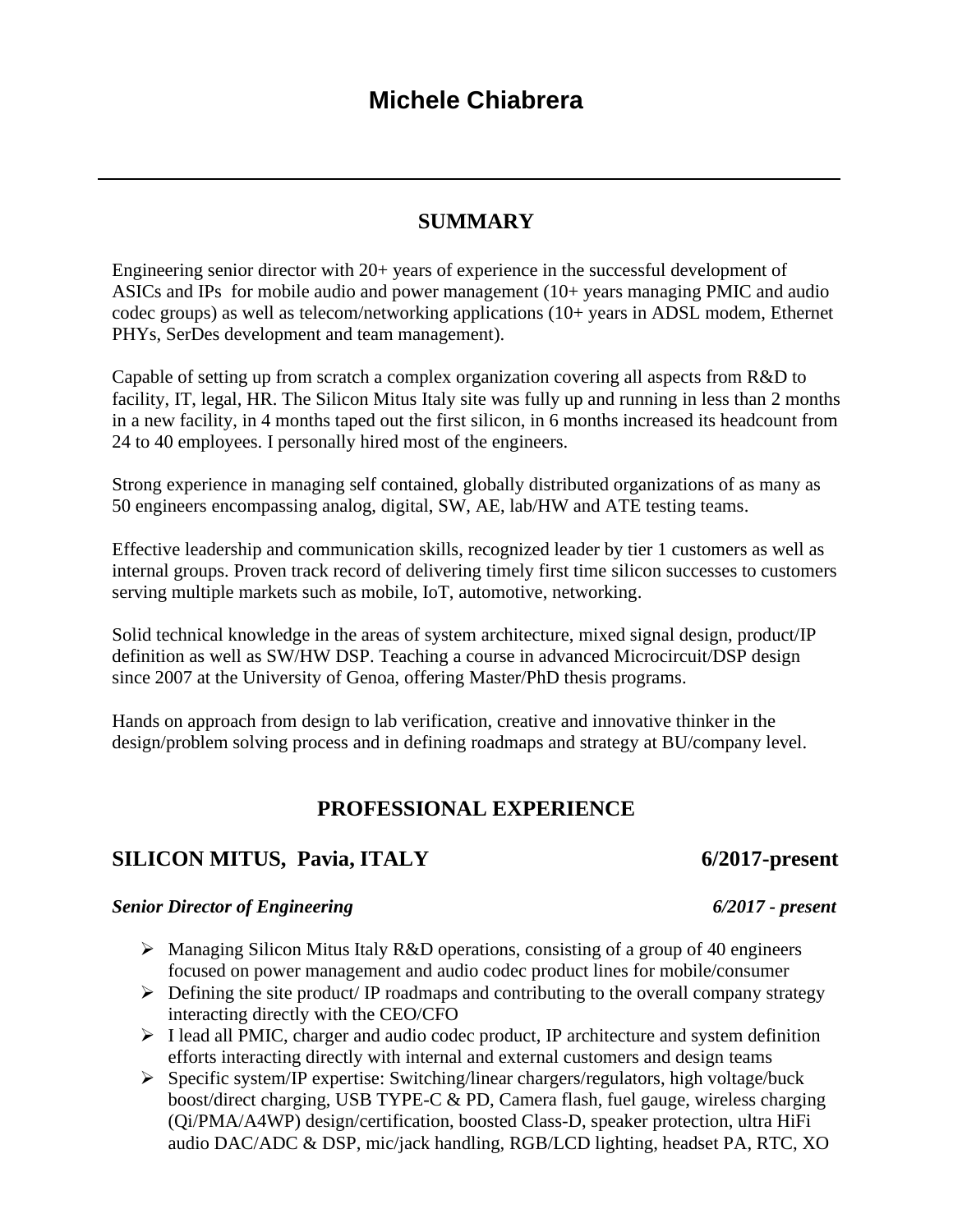# **SUMMARY**

Engineering senior director with 20+ years of experience in the successful development of ASICs and IPs for mobile audio and power management (10+ years managing PMIC and audio codec groups) as well as telecom/networking applications (10+ years in ADSL modem, Ethernet PHYs, SerDes development and team management).

Capable of setting up from scratch a complex organization covering all aspects from R&D to facility, IT, legal, HR. The Silicon Mitus Italy site was fully up and running in less than 2 months in a new facility, in 4 months taped out the first silicon, in 6 months increased its headcount from 24 to 40 employees. I personally hired most of the engineers.

Strong experience in managing self contained, globally distributed organizations of as many as 50 engineers encompassing analog, digital, SW, AE, lab/HW and ATE testing teams.

Effective leadership and communication skills, recognized leader by tier 1 customers as well as internal groups. Proven track record of delivering timely first time silicon successes to customers serving multiple markets such as mobile, IoT, automotive, networking.

Solid technical knowledge in the areas of system architecture, mixed signal design, product/IP definition as well as SW/HW DSP. Teaching a course in advanced Microcircuit/DSP design since 2007 at the University of Genoa, offering Master/PhD thesis programs.

Hands on approach from design to lab verification, creative and innovative thinker in the design/problem solving process and in defining roadmaps and strategy at BU/company level.

## **PROFESSIONAL EXPERIENCE**

## **SILICON MITUS, Pavia, ITALY 6/2017-present**

### *Senior Director of Engineering 6/2017 - present*

- ➢ Managing Silicon Mitus Italy R&D operations, consisting of a group of 40 engineers focused on power management and audio codec product lines for mobile/consumer
- $\triangleright$  Defining the site product/ IP roadmaps and contributing to the overall company strategy interacting directly with the CEO/CFO
- ➢ I lead all PMIC, charger and audio codec product, IP architecture and system definition efforts interacting directly with internal and external customers and design teams
- ➢ Specific system/IP expertise: Switching/linear chargers/regulators, high voltage/buck boost/direct charging, USB TYPE-C & PD, Camera flash, fuel gauge, wireless charging (Qi/PMA/A4WP) design/certification, boosted Class-D, speaker protection, ultra HiFi audio DAC/ADC & DSP, mic/jack handling, RGB/LCD lighting, headset PA, RTC, XO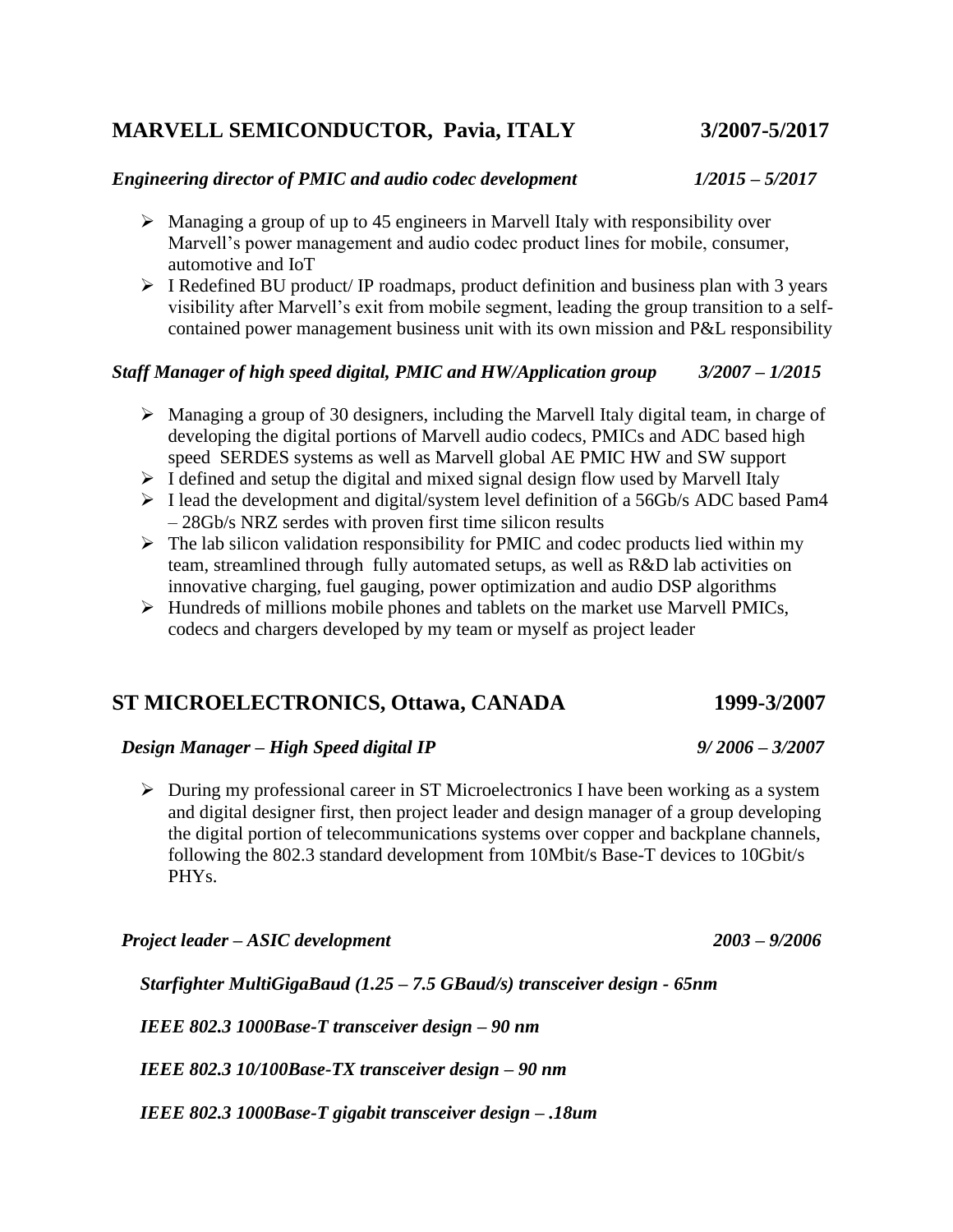# **MARVELL SEMICONDUCTOR, Pavia, ITALY 3/2007-5/2017**

### *Engineering director of PMIC and audio codec development 1/2015 – 5/2017*

- ➢ Managing a group of up to 45 engineers in Marvell Italy with responsibility over Marvell's power management and audio codec product lines for mobile, consumer, automotive and IoT
- ➢ I Redefined BU product/ IP roadmaps, product definition and business plan with 3 years visibility after Marvell's exit from mobile segment, leading the group transition to a selfcontained power management business unit with its own mission and P&L responsibility

### *Staff Manager of high speed digital, PMIC and HW/Application group 3/2007 – 1/2015*

- $\triangleright$  Managing a group of 30 designers, including the Marvell Italy digital team, in charge of developing the digital portions of Marvell audio codecs, PMICs and ADC based high speed SERDES systems as well as Marvell global AE PMIC HW and SW support
- ➢ I defined and setup the digital and mixed signal design flow used by Marvell Italy
- ➢ I lead the development and digital/system level definition of a 56Gb/s ADC based Pam4 – 28Gb/s NRZ serdes with proven first time silicon results
- $\triangleright$  The lab silicon validation responsibility for PMIC and codec products lied within my team, streamlined through fully automated setups, as well as R&D lab activities on innovative charging, fuel gauging, power optimization and audio DSP algorithms
- ➢ Hundreds of millions mobile phones and tablets on the market use Marvell PMICs, codecs and chargers developed by my team or myself as project leader

## **ST MICROELECTRONICS, Ottawa, CANADA 1999-3/2007**

### *Design Manager – High Speed digital IP 9/ 2006 – 3/2007*

➢ During my professional career in ST Microelectronics I have been working as a system and digital designer first, then project leader and design manager of a group developing the digital portion of telecommunications systems over copper and backplane channels, following the 802.3 standard development from 10Mbit/s Base-T devices to 10Gbit/s PHYs.

 *Project leader – ASIC development 2003 – 9/2006*

*Starfighter MultiGigaBaud (1.25 – 7.5 GBaud/s) transceiver design - 65nm*

*IEEE 802.3 1000Base-T transceiver design – 90 nm*

 *IEEE 802.3 10/100Base-TX transceiver design – 90 nm*

 *IEEE 802.3 1000Base-T gigabit transceiver design – .18um*